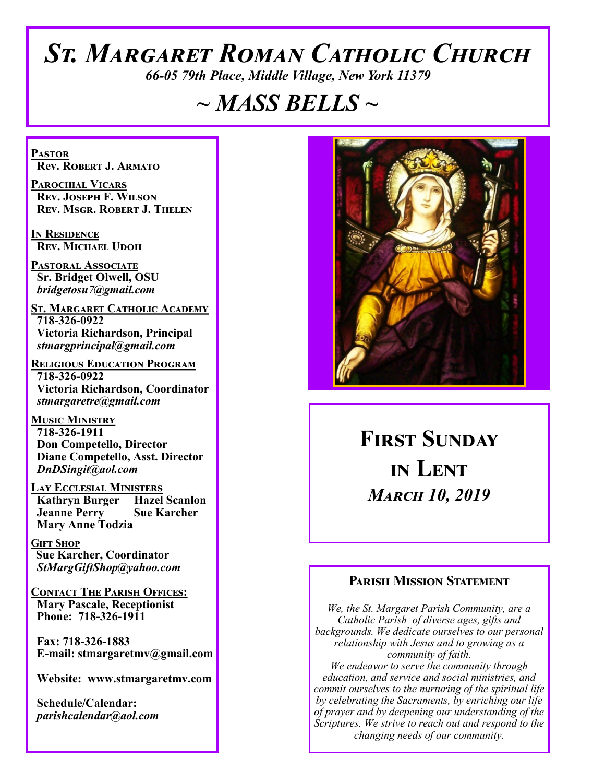# *St. Margaret Roman Catholic Church*

*66-05 79th Place, Middle Village, New York 11379*

# *~ MASS BELLS ~*

**Pastor Rev. Robert J. Armato**

**Parochial Vicars Rev. Joseph F. Wilson Rev. Msgr. Robert J. Thelen**

**In Residence Rev. Michael Udoh**

**Pastoral Associate Sr. Bridget Olwell, OSU**  *bridgetosu7@gmail.com*

**St. Margaret Catholic Academy 718-326-0922 Victoria Richardson, Principal**  *stmargprincipal@gmail.com*

**Religious Education Program 718-326-0922 Victoria Richardson, Coordinator** *stmargaretre@gmail.com*

**Music Ministry 718-326-1911 Don Competello, Director Diane Competello, Asst. Director** *DnDSingit@aol.com*

**Lay Ecclesial Ministers Kathryn Burger Jeanne Perry Sue Karcher Mary Anne Todzia**

**Gift Shop Sue Karcher, Coordinator** *StMargGiftShop@yahoo.com*

**Contact The Parish Offices: Mary Pascale, Receptionist Phone: 718-326-1911** 

 **Fax: 718-326-1883 E-mail: stmargaretmv@gmail.com**

 **Website: www.stmargaretmv.com**

 **Schedule/Calendar:** *parishcalendar@aol.com* 



**First Sunday in Lent**  *March 10, 2019* 

#### **Parish Mission Statement**

*We, the St. Margaret Parish Community, are a Catholic Parish of diverse ages, gifts and backgrounds. We dedicate ourselves to our personal relationship with Jesus and to growing as a community of faith. We endeavor to serve the community through education, and service and social ministries, and commit ourselves to the nurturing of the spiritual life by celebrating the Sacraments, by enriching our life of prayer and by deepening our understanding of the Scriptures. We strive to reach out and respond to the changing needs of our community.*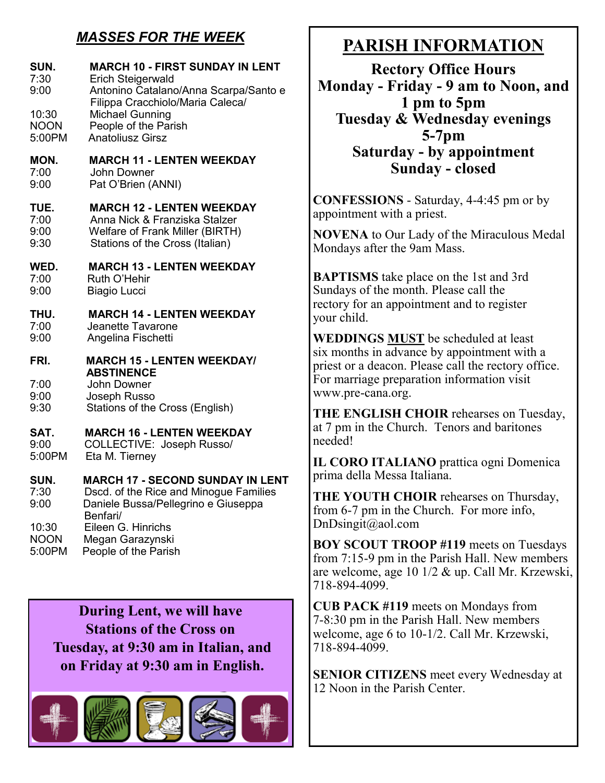# *MASSES FOR THE WEEK*

| SUN.<br>7:30<br>9:00         | <b>MARCH 10 - FIRST SUNDAY IN LENT</b><br><b>Erich Steigerwald</b><br>Antonino Catalano/Anna Scarpa/Santo e<br>Filippa Cracchiolo/Maria Caleca/ |
|------------------------------|-------------------------------------------------------------------------------------------------------------------------------------------------|
| 10:30                        | Michael Gunning                                                                                                                                 |
| <b>NOON</b>                  | People of the Parish                                                                                                                            |
| 5:00PM                       | <b>Anatoliusz Girsz</b>                                                                                                                         |
| MON.                         | <b>MARCH 11 - LENTEN WEEKDAY</b>                                                                                                                |
| 7:00                         | John Downer                                                                                                                                     |
| 9:00                         | Pat O'Brien (ANNI)                                                                                                                              |
| TUE.                         | <b>MARCH 12 - LENTEN WEEKDAY</b>                                                                                                                |
| 7:00                         | Anna Nick & Franziska Stalzer                                                                                                                   |
| 9:00                         | <b>Welfare of Frank Miller (BIRTH)</b>                                                                                                          |
| 9:30                         | Stations of the Cross (Italian)                                                                                                                 |
| WED.                         | <b>MARCH 13 - LENTEN WEEKDAY</b>                                                                                                                |
| 7:00                         | Ruth O'Hehir                                                                                                                                    |
| 9:00                         | <b>Biagio Lucci</b>                                                                                                                             |
| THU.                         | <b>MARCH 14 - LENTEN WEEKDAY</b>                                                                                                                |
| 7:00                         | Jeanette Tavarone                                                                                                                               |
| 9:00                         | Angelina Fischetti                                                                                                                              |
| FRI.<br>7:00<br>9:00<br>9:30 | <b>MARCH 15 - LENTEN WEEKDAY/</b><br><b>ABSTINENCE</b><br>John Downer<br>Joseph Russo<br>Stations of the Cross (English)                        |
| SAT.                         | <b>MARCH 16 - LENTEN WEEKDAY</b>                                                                                                                |
| 9:00                         | COLLECTIVE: Joseph Russo/                                                                                                                       |
| 5:00PM                       | Eta M. Tierney                                                                                                                                  |
| SUN.                         | <b>MARCH 17 - SECOND SUNDAY IN LENT</b>                                                                                                         |
| 7:30                         | Dscd. of the Rice and Minogue Families                                                                                                          |
| 9:00                         | Daniele Bussa/Pellegrino e Giuseppa                                                                                                             |
|                              | Benfari/                                                                                                                                        |

5:00PM People of the Parish

**During Lent, we will have Stations of the Cross on Tuesday, at 9:30 am in Italian, and on Friday at 9:30 am in English.** 



# **PARISH INFORMATION**

**Rectory Office Hours Monday - Friday - 9 am to Noon, and 1 pm to 5pm Tuesday & Wednesday evenings 5-7pm Saturday - by appointment Sunday - closed**

**CONFESSIONS** - Saturday, 4-4:45 pm or by appointment with a priest.

**NOVENA** to Our Lady of the Miraculous Medal Mondays after the 9am Mass.

**BAPTISMS** take place on the 1st and 3rd Sundays of the month. Please call the rectory for an appointment and to register your child.

**WEDDINGS MUST** be scheduled at least six months in advance by appointment with a priest or a deacon. Please call the rectory office. For marriage preparation information visit www.pre-cana.org.

**THE ENGLISH CHOIR** rehearses on Tuesday, at 7 pm in the Church. Tenors and baritones needed!

**IL CORO ITALIANO** prattica ogni Domenica prima della Messa Italiana.

**THE YOUTH CHOIR** rehearses on Thursday, from 6-7 pm in the Church. For more info, DnDsingit@aol.com

**BOY SCOUT TROOP #119** meets on Tuesdays from 7:15-9 pm in the Parish Hall. New members are welcome, age 10 1/2 & up. Call Mr. Krzewski, 718-894-4099.

**CUB PACK #119** meets on Mondays from 7-8:30 pm in the Parish Hall. New members welcome, age 6 to 10-1/2. Call Mr. Krzewski, 718-894-4099.

**SENIOR CITIZENS** meet every Wednesday at 12 Noon in the Parish Center.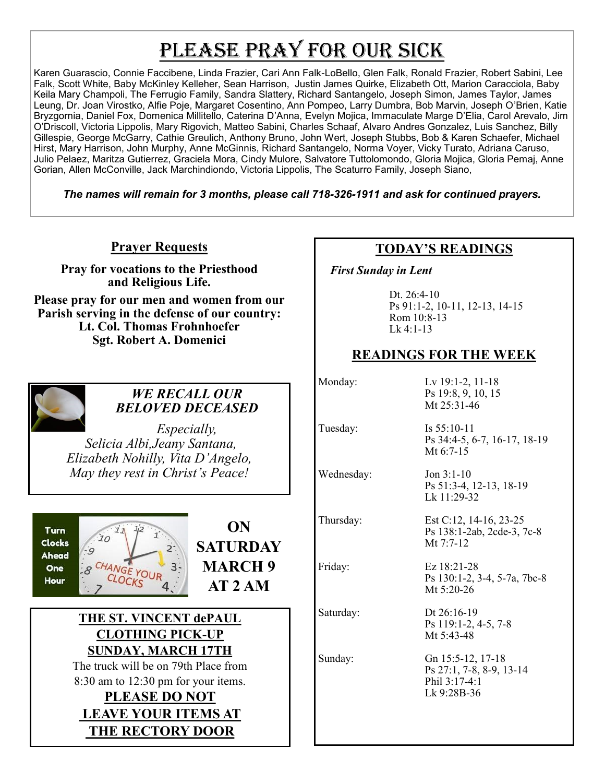# PLEASE PRAY FOR OUR SICK

Karen Guarascio, Connie Faccibene, Linda Frazier, Cari Ann Falk-LoBello, Glen Falk, Ronald Frazier, Robert Sabini, Lee Falk, Scott White, Baby McKinley Kelleher, Sean Harrison, Justin James Quirke, Elizabeth Ott, Marion Caracciola, Baby Keila Mary Champoli, The Ferrugio Family, Sandra Slattery, Richard Santangelo, Joseph Simon, James Taylor, James Leung, Dr. Joan Virostko, Alfie Poje, Margaret Cosentino, Ann Pompeo, Larry Dumbra, Bob Marvin, Joseph O'Brien, Katie Bryzgornia, Daniel Fox, Domenica Millitello, Caterina D'Anna, Evelyn Mojica, Immaculate Marge D'Elia, Carol Arevalo, Jim O'Driscoll, Victoria Lippolis, Mary Rigovich, Matteo Sabini, Charles Schaaf, Alvaro Andres Gonzalez, Luis Sanchez, Billy Gillespie, George McGarry, Cathie Greulich, Anthony Bruno, John Wert, Joseph Stubbs, Bob & Karen Schaefer, Michael Hirst, Mary Harrison, John Murphy, Anne McGinnis, Richard Santangelo, Norma Voyer, Vicky Turato, Adriana Caruso, Julio Pelaez, Maritza Gutierrez, Graciela Mora, Cindy Mulore, Salvatore Tuttolomondo, Gloria Mojica, Gloria Pemaj, Anne Gorian, Allen McConville, Jack Marchindiondo, Victoria Lippolis, The Scaturro Family, Joseph Siano,

*The names will remain for 3 months, please call 718-326-1911 and ask for continued prayers.*

#### **Prayer Requests**

**Pray for vocations to the Priesthood and Religious Life.** 

**Please pray for our men and women from our Parish serving in the defense of our country: Lt. Col. Thomas Frohnhoefer Sgt. Robert A. Domenici** 



#### *WE RECALL OUR BELOVED DECEASED*

*Especially, Selicia Albi,Jeany Santana, Elizabeth Nohilly, Vita D'Angelo, May they rest in Christ's Peace!*





#### **THE ST. VINCENT dePAUL CLOTHING PICK-UP SUNDAY, MARCH 17TH**

The truck will be on 79th Place from 8:30 am to 12:30 pm for your items.

### **PLEASE DO NOT LEAVE YOUR ITEMS AT THE RECTORY DOOR**

## **TODAY'S READINGS**

 *First Sunday in Lent* 

Dt. 26:4-10 Ps 91:1-2, 10-11, 12-13, 14-15 Rom 10:8-13 Lk 4:1-13

### **READINGS FOR THE WEEK**

Monday: Lv 19:1-2, 11-18 Ps 19:8, 9, 10, 15 Mt 25:31-46 Tuesday: Is 55:10-11 Ps 34:4-5, 6-7, 16-17, 18-19 Mt 6:7-15 Wednesday: Jon 3:1-10 Ps 51:3-4, 12-13, 18-19 Lk  $11:29-32$ Thursday: Est C:12, 14-16, 23-25 Ps 138:1-2ab, 2cde-3, 7c-8 Mt 7:7-12 Friday: Ez 18:21-28 Ps 130:1-2, 3-4, 5-7a, 7bc-8 Mt 5:20-26 Saturday: Dt 26:16-19 Ps 119:1-2, 4-5, 7-8 Mt 5:43-48 Sunday: Gn 15:5-12, 17-18 Ps 27:1, 7-8, 8-9, 13-14 Phil 3:17-4:1 Lk 9:28B-36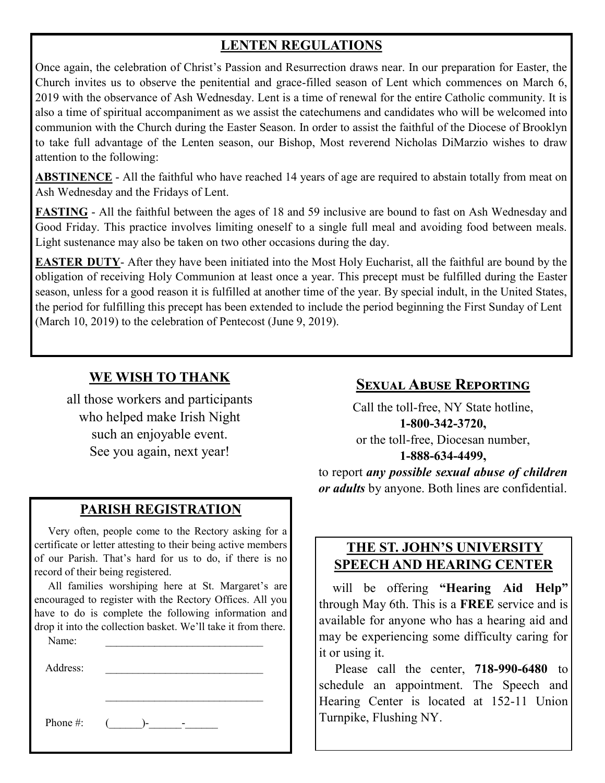# **LENTEN REGULATIONS**

Once again, the celebration of Christ's Passion and Resurrection draws near. In our preparation for Easter, the Church invites us to observe the penitential and grace-filled season of Lent which commences on March 6, 2019 with the observance of Ash Wednesday. Lent is a time of renewal for the entire Catholic community. It is also a time of spiritual accompaniment as we assist the catechumens and candidates who will be welcomed into communion with the Church during the Easter Season. In order to assist the faithful of the Diocese of Brooklyn to take full advantage of the Lenten season, our Bishop, Most reverend Nicholas DiMarzio wishes to draw attention to the following:

**ABSTINENCE** - All the faithful who have reached 14 years of age are required to abstain totally from meat on Ash Wednesday and the Fridays of Lent.

**FASTING** - All the faithful between the ages of 18 and 59 inclusive are bound to fast on Ash Wednesday and Good Friday. This practice involves limiting oneself to a single full meal and avoiding food between meals. Light sustenance may also be taken on two other occasions during the day.

**EASTER DUTY**- After they have been initiated into the Most Holy Eucharist, all the faithful are bound by the obligation of receiving Holy Communion at least once a year. This precept must be fulfilled during the Easter season, unless for a good reason it is fulfilled at another time of the year. By special indult, in the United States, the period for fulfilling this precept has been extended to include the period beginning the First Sunday of Lent (March 10, 2019) to the celebration of Pentecost (June 9, 2019).

### **WE WISH TO THANK**

all those workers and participants who helped make Irish Night such an enjoyable event. See you again, next year!

#### **PARISH REGISTRATION**

 Very often, people come to the Rectory asking for a certificate or letter attesting to their being active members of our Parish. That's hard for us to do, if there is no record of their being registered.

 All families worshiping here at St. Margaret's are encouraged to register with the Rectory Offices. All you have to do is complete the following information and drop it into the collection basket. We'll take it from there.

 $\mathcal{L}_\text{max}$ 

| Name:    |  |
|----------|--|
|          |  |
| Address: |  |

Phone #:  $(\_\_\_\$ - $\_\_\_$ -

## **Sexual Abuse Reporting**

Call the toll-free, NY State hotline, **1-800-342-3720,** or the toll-free, Diocesan number, **1-888-634-4499,**

to report *any possible sexual abuse of children or adults* by anyone. Both lines are confidential.

#### **THE ST. JOHN'S UNIVERSITY SPEECH AND HEARING CENTER**

 will be offering **"Hearing Aid Help"**  through May 6th. This is a **FREE** service and is available for anyone who has a hearing aid and may be experiencing some difficulty caring for it or using it.

 Please call the center, **718-990-6480** to schedule an appointment. The Speech and Hearing Center is located at 152-11 Union Turnpike, Flushing NY.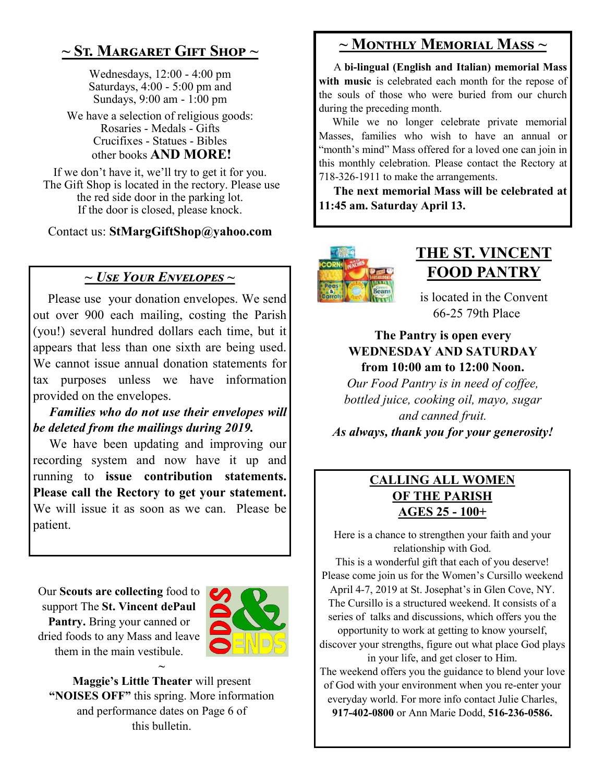# **~ St. Margaret Gift Shop ~**

Wednesdays, 12:00 - 4:00 pm Saturdays, 4:00 - 5:00 pm and Sundays, 9:00 am - 1:00 pm

We have a selection of religious goods: Rosaries - Medals - Gifts Crucifixes - Statues - Bibles other books **AND MORE!**

If we don't have it, we'll try to get it for you. The Gift Shop is located in the rectory. Please use the red side door in the parking lot. If the door is closed, please knock.

Contact us: **StMargGiftShop@yahoo.com**

#### *~ Use Your Envelopes ~*

 Please use your donation envelopes. We send out over 900 each mailing, costing the Parish (you!) several hundred dollars each time, but it appears that less than one sixth are being used. We cannot issue annual donation statements for tax purposes unless we have information provided on the envelopes.

 *Families who do not use their envelopes will be deleted from the mailings during 2019.*

 We have been updating and improving our recording system and now have it up and running to **issue contribution statements. Please call the Rectory to get your statement.**  We will issue it as soon as we can. Please be patient.

Our **Scouts are collecting** food to support The **St. Vincent dePaul Pantry.** Bring your canned or dried foods to any Mass and leave them in the main vestibule. **~**



**Maggie's Little Theater** will present **"NOISES OFF"** this spring. More information and performance dates on Page 6 of this bulletin.

# **~ Monthly Memorial Mass ~**

 A **bi-lingual (English and Italian) memorial Mass**  with music is celebrated each month for the repose of the souls of those who were buried from our church during the preceding month.

 While we no longer celebrate private memorial Masses, families who wish to have an annual or "month's mind" Mass offered for a loved one can join in this monthly celebration. Please contact the Rectory at 718-326-1911 to make the arrangements.

 **The next memorial Mass will be celebrated at 11:45 am. Saturday April 13.** 



# **THE ST. VINCENT FOOD PANTRY**

is located in the Convent 66-25 79th Place

#### **The Pantry is open every WEDNESDAY AND SATURDAY from 10:00 am to 12:00 Noon.**

*Our Food Pantry is in need of coffee, bottled juice, cooking oil, mayo, sugar and canned fruit. As always, thank you for your generosity!*

#### **CALLING ALL WOMEN OF THE PARISH AGES 25 - 100+**

Here is a chance to strengthen your faith and your relationship with God.

This is a wonderful gift that each of you deserve! Please come join us for the Women's Cursillo weekend April 4-7, 2019 at St. Josephat's in Glen Cove, NY. The Cursillo is a structured weekend. It consists of a series of talks and discussions, which offers you the opportunity to work at getting to know yourself, discover your strengths, figure out what place God plays in your life, and get closer to Him. The weekend offers you the guidance to blend your love

of God with your environment when you re-enter your everyday world. For more info contact Julie Charles, **917-402-0800** or Ann Marie Dodd, **516-236-0586.**